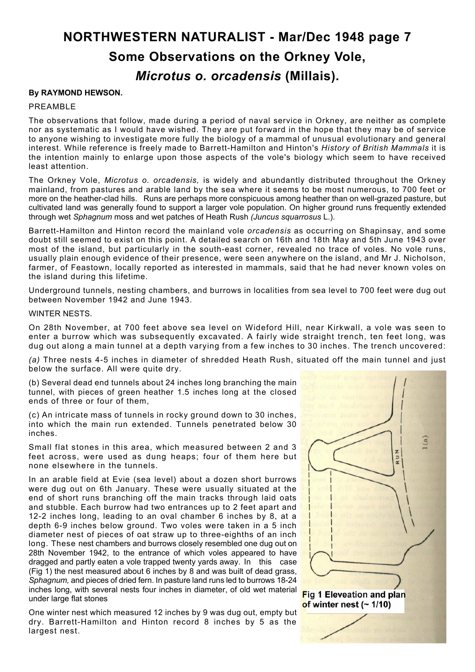# **NORTHWESTERN NATURALIST - Mar/Dec 1948 page 7 Some Observations on the Orkney Vole,** *Microtus o. orcadensis* **(Millais).**

## **By RAYMOND HEWSON.**

### PREAMBLE

The observations that follow, made during a period of naval service in Orkney, are neither as complete nor as systematic as I would have wished. They are put forward in the hope that they may be of service to anyone wishing to investigate more fully the biology of a mammal of unusual evolutionary and general interest. While reference is freely made to Barrett-Hamilton and Hinton's *History of British Mammals* it is the intention mainly to enlarge upon those aspects of the vole's biology which seem to have received least attention.

The Orkney Vole, *Microtus o. orcadensis,* is widely and abundantly distributed throughout the Orkney mainland, from pastures and arable land by the sea where it seems to be most numerous, to 700 feet or more on the heather-clad hills. Runs are perhaps more conspicuous among heather than on well-grazed pasture, but cultivated land was generally found to support a larger vole population. On higher ground runs frequently extended through wet *Sphagnum* moss and wet patches of Heath Rush *(Juncus squarrosus* L.).

Barrett-Hamilton and Hinton record the mainland vole *orcadensis* as occurring on Shapinsay, and some doubt still seemed to exist on this point. A detailed search on 16th and 18th May and 5th June 1943 over most of the island, but particularly in the south-east corner, revealed no trace of voles. No vole runs, usually plain enough evidence of their presence, were seen anywhere on the island, and Mr J. Nicholson, farmer, of Feastown, locally reported as interested in mammals, said that he had never known voles on the island during this lifetime.

Underground tunnels, nesting chambers, and burrows in localities from sea level to 700 feet were dug out between November 1942 and June 1943.

#### WINTER NESTS.

On 28th November, at 700 feet above sea level on Wideford Hill, near Kirkwall, a vole was seen to enter a burrow which was subsequently excavated. A fairly wide straight trench, ten feet long, was dug out along a main tunnel at a depth varying from a few inches to 30 inches. The trench uncovered:

*(a)* Three nests 4-5 inches in diameter of shredded Heath Rush, situated off the main tunnel and just below the surface. All were quite dry.

(b) Several dead end tunnels about 24 inches long branching the main tunnel, with pieces of green heather 1.5 inches long at the closed ends of three or four of them,

(c) An intricate mass of tunnels in rocky ground down to 30 inches, into which the main run extended. Tunnels penetrated below 30 inches.

Small flat stones in this area, which measured between 2 and 3 feet across, were used as dung heaps; four of them here but none elsewhere in the tunnels.

In an arable field at Evie (sea level) about a dozen short burrows were dug out on 6th January. These were usually situated at the end of short runs branching off the main tracks through laid oats and stubble. Each burrow had two entrances up to 2 feet apart and 12-2 inches long, leading to an oval chamber 6 inches by 8, at a depth 6-9 inches below ground. Two voles were taken in a 5 inch diameter nest of pieces of oat straw up to three-eighths of an inch long. These nest chambers and burrows closely resembled one dug out on 28th November 1942, to the entrance of which voles appeared to have dragged and partly eaten a vole trapped twenty yards away. In this case (Fig 1) the nest measured about 6 inches by 8 and was built of dead grass, *Sphagnum,* and pieces of dried fern. In pasture land runs led to burrows 18-24 inches long, with several nests four inches in diameter, of old wet material under large flat stones

One winter nest which measured 12 inches by 9 was dug out, empty but dry. Barrett-Hamilton and Hinton record 8 inches by 5 as the largest nest.